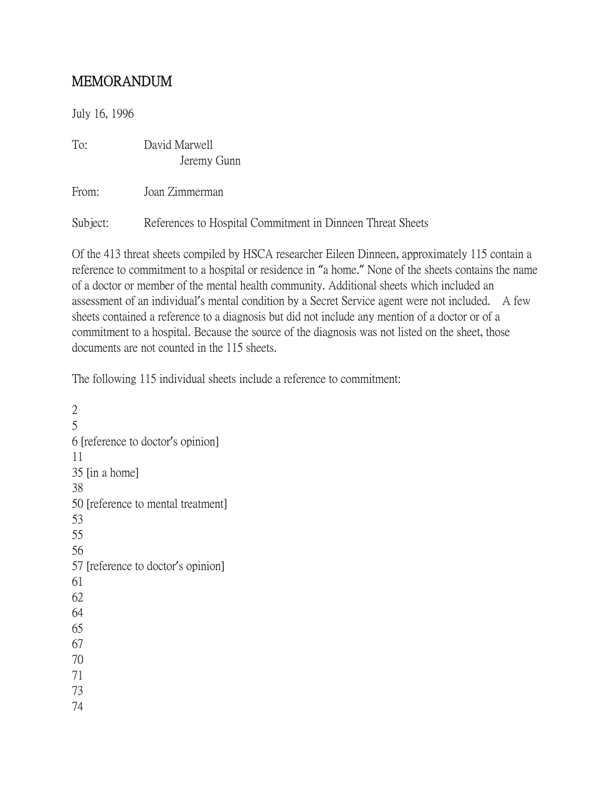## MEMORANDUM

July 16, 1996

To: David Marwell Jeremy Gunn

From: Joan Zimmerman

Subject: References to Hospital Commitment in Dinneen Threat Sheets

Of the 413 threat sheets compiled by HSCA researcher Eileen Dinneen, approximately 115 contain a reference to commitment to a hospital or residence in "a home." None of the sheets contains the name of a doctor or member of the mental health community. Additional sheets which included an assessment of an individual's mental condition by a Secret Service agent were not included. A few sheets contained a reference to a diagnosis but did not include any mention of a doctor or of a commitment to a hospital. Because the source of the diagnosis was not listed on the sheet, those documents are not counted in the 115 sheets.

The following 115 individual sheets include a reference to commitment:

2 5 6 [reference to doctor's opinion] 11 35 [in a home] 38 50 [reference to mental treatment] 53 55 56 57 [reference to doctor's opinion] 61 62 64 65 67 70 71 73 74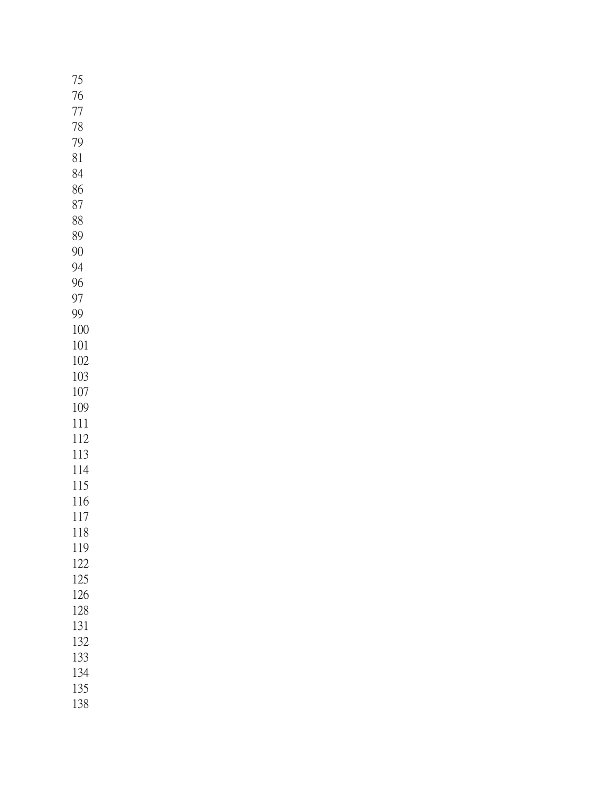| 75         |  |
|------------|--|
| 76         |  |
| 77         |  |
| 78         |  |
| 79         |  |
| 81         |  |
| 84         |  |
| 86         |  |
| 87         |  |
| 88         |  |
| 89         |  |
| 90         |  |
| 94         |  |
| 96         |  |
| 97         |  |
| 99         |  |
| 100        |  |
| 101        |  |
| 102        |  |
| 103<br>107 |  |
| 109        |  |
| 111        |  |
| 112        |  |
| 113        |  |
| 114        |  |
| 115        |  |
| 116        |  |
| 117        |  |
| 118        |  |
| 119        |  |
| 122        |  |
| 125        |  |
| 126        |  |
| 128        |  |
| 131        |  |
| 132<br>133 |  |
| 134        |  |
| 135        |  |
| 138        |  |
|            |  |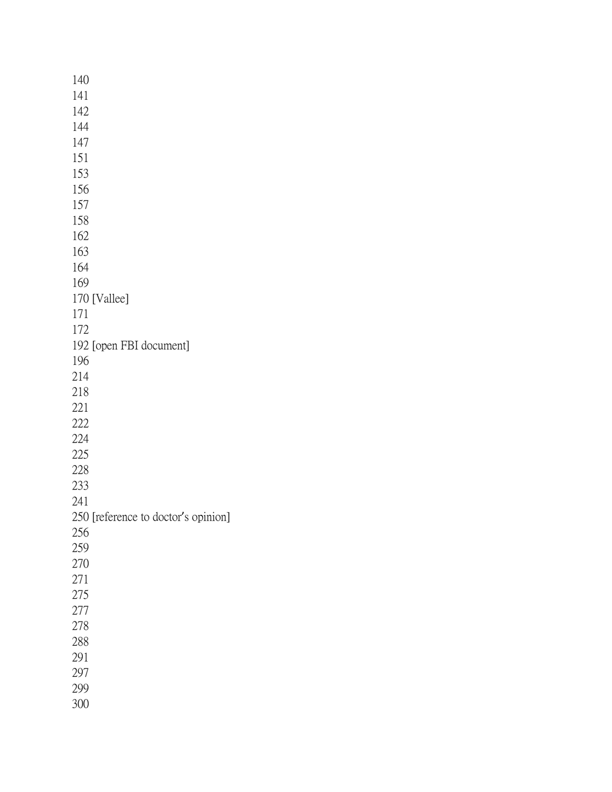| 140                                 |
|-------------------------------------|
| 141                                 |
| 142                                 |
| 144                                 |
| 147                                 |
| 151                                 |
| 153                                 |
| 156                                 |
| 157                                 |
| 158                                 |
| 162                                 |
| 163                                 |
| 164                                 |
| 169                                 |
| 170 [Vallee]                        |
| 171                                 |
| 172                                 |
| 192 [open FBI document]             |
| 196                                 |
| 214                                 |
| 218                                 |
| 221                                 |
| 222                                 |
| 224                                 |
| 225                                 |
| 228                                 |
| 233                                 |
| 241                                 |
| 250 [reference to doctor's opinion] |
| 256                                 |
| 259                                 |
| 270                                 |
| 271                                 |
| 275                                 |
| 277                                 |
| 278                                 |
| 288                                 |
| 291                                 |
| 297                                 |
| 299                                 |
| 300                                 |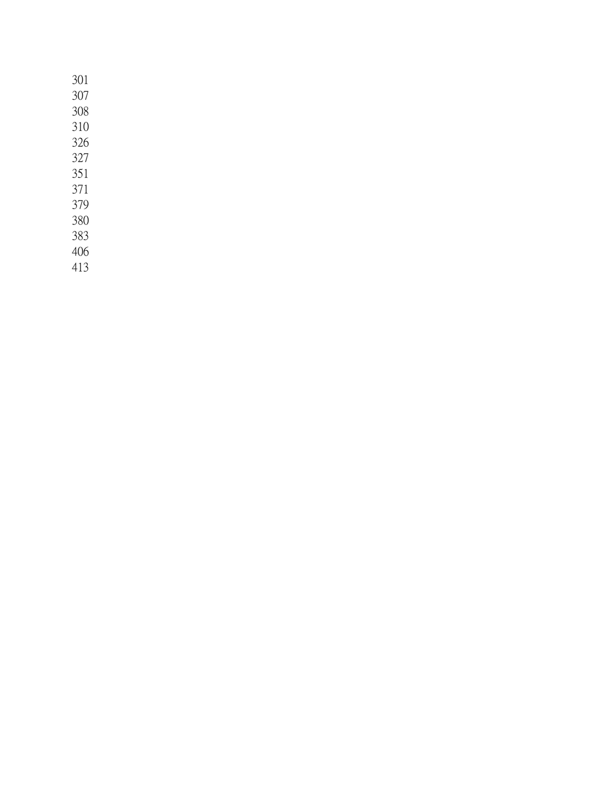| 301 |  |
|-----|--|
| 307 |  |
| 308 |  |
| 310 |  |
| 326 |  |
| 327 |  |
| 351 |  |
| 371 |  |
| 379 |  |
| 380 |  |
| 383 |  |
| 406 |  |